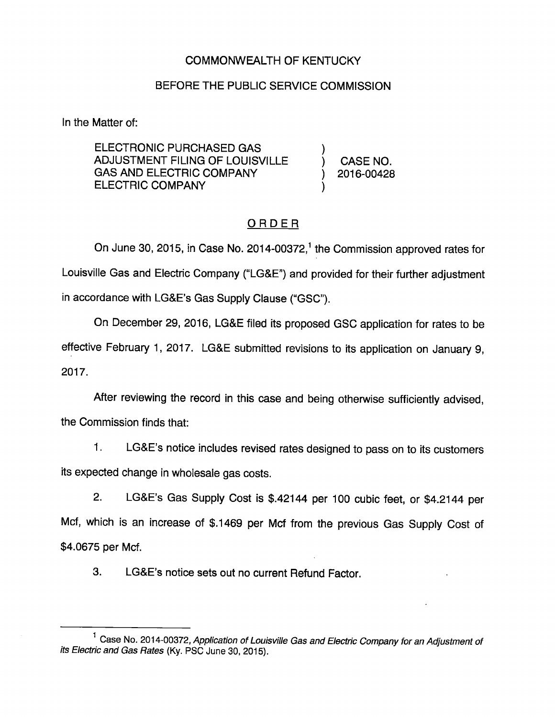### COMMONWEALTH OF KENTUCKY

### BEFORE THE PUBLIC SERVICE COMMISSION

In the Matter of:

ELECTRONIC PURCHASED GAS ) ADJUSTMENT FILING OF LOUISVILLE ) CASE NO. GAS AND ELECTRIC COMPANY (2016-00428) ELECTRIC COMPANY

## **ORDER**

On June 30, 2015, in Case No. 2014-00372, $<sup>1</sup>$  the Commission approved rates for</sup> Louisville Gas and Electric Company ("LG&E") and provided for their further adjustment in accordance with LG&E's Gas Supply Clause ("GSC").

On December 29, 2016, LG&E filed its proposed GSC application for rates to be effective February 1, 2017. LG&E submitted revisions to its application on January 9, 2017.

After reviewing the record in this case and being otherwise sufficiently advised, the Commission finds that:

1. LG&E's notice includes revised rates designed to pass on to its customers its expected change in wholesale gas costs.

2. LG&E's Gas Supply Cost is \$.42144 per 100 cubic feet, or \$4.2144 per Mcf, which is an increase of \$.1469 per Mcf from the previous Gas Supply Cost of \$4.0675 per Mcf.

3. LG&E's notice sets out no current Refund Factor.

<sup>&</sup>lt;sup>1</sup> Case No. 2014-00372, Application of Louisville Gas and Electric Company for an Adjustment of its Electric and Gas Rates (Ky. PSC June 30, 2015).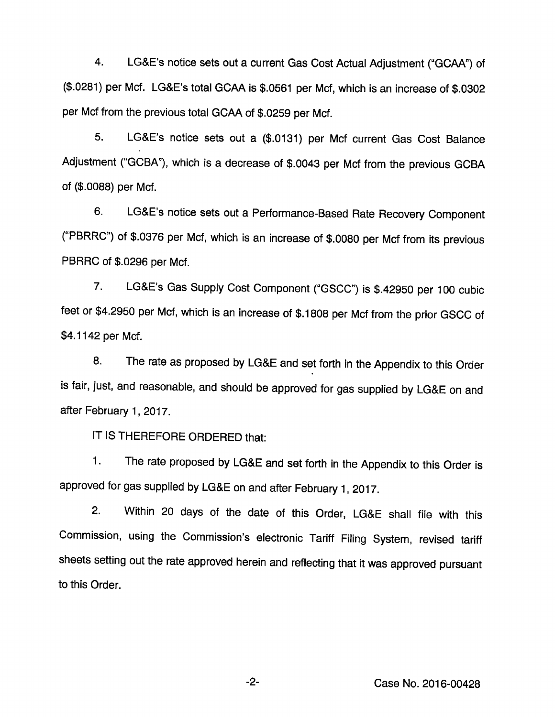4. LG&E's notice sets out a current Gas Cost Actual Adjustment ("GOAA") of (\$.0281) per Met. LG&E's total GOAA Is \$.0561 per Met, which is an increase of \$.0302 per Mcf from the previous total GOAA of \$.0259 per Mcf.

5. LG&E's notice sets out a (\$.0131) per Mcf current Gas Cost Balance Adjustment ("GCBA"), which is a decrease of \$.0043 per Mcf from the previous GCBA of (\$.0088) per Mcf.

6. LG&E's notice sets out a Performance-Based Rate Recovery Component ("PBRRC") of \$.0376 per Mcf, which is an increase of \$.0080 per Mcf from its previous PBRRC of \$.0296 per Mcf.

7. LG&E's Gas Supply Cost Component ("GSCC") is \$.42950 per 100 cubic feet or \$4.2950 per Mcf, which is an increase of \$.1808 per Mcf from the prior GSCC of \$4.1142 per Mcf.

8. The rate as proposed by LG&E and set forth in the Appendix to this Order is fair, just, and reasonable, and should be approved for gas supplied by LG&E on and after February 1, 2017.

IT IS THEREFORE ORDERED that:

1. The rate proposed by LG&E and set forth in the Appendix to this Order is approved for gas supplied by LG&E on and after February 1, 2017.

2. Within 20 days of the date of this Order, LG&E shall file with this Commission, using the Commission's electronic Tariff Filing System, revised tariff sheets setting out the rate approved herein and reflecting that it was approved pursuant to this Order.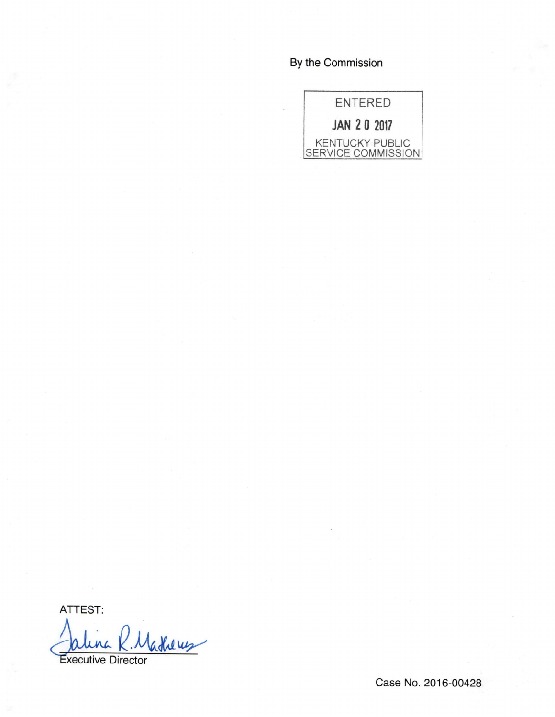# By the Commission



ATTEST:

Vadheus Executive Director

Case No. 2016-00428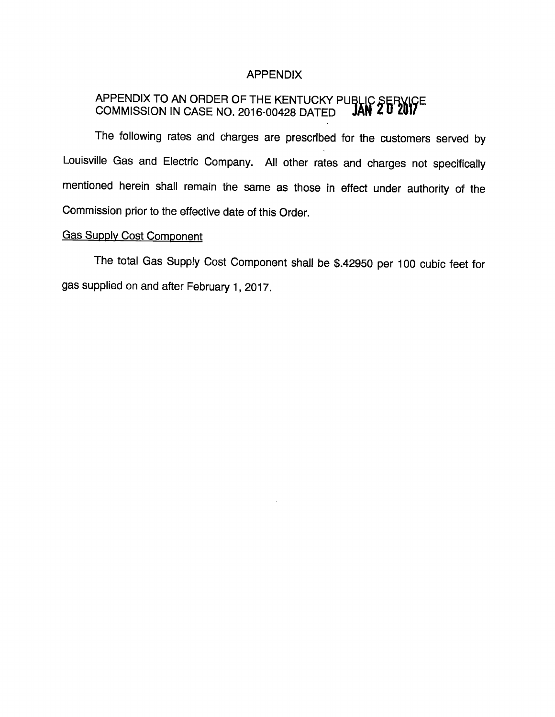#### APPENDIX

### APPENDIX TO AN ORDER OF THE KENTUCKY PUBLIC SERVICE COMMISSION IN CASE NO. 2016-00428 DATED **JAN ZU ZUI/**

The following rates and charges are prescribed for the customers served by Louisville Gas and Electric Company. All other rates and charges not specifically mentioned herein shall remain the same as those in effect under authority of the Commission prior to the effective date of this Order.

## **Gas Supply Cost Component**

The total Gas Supply Cost Component shall be \$.42950 per 100 cubic feet for gas supplied on and after February 1, 2017.